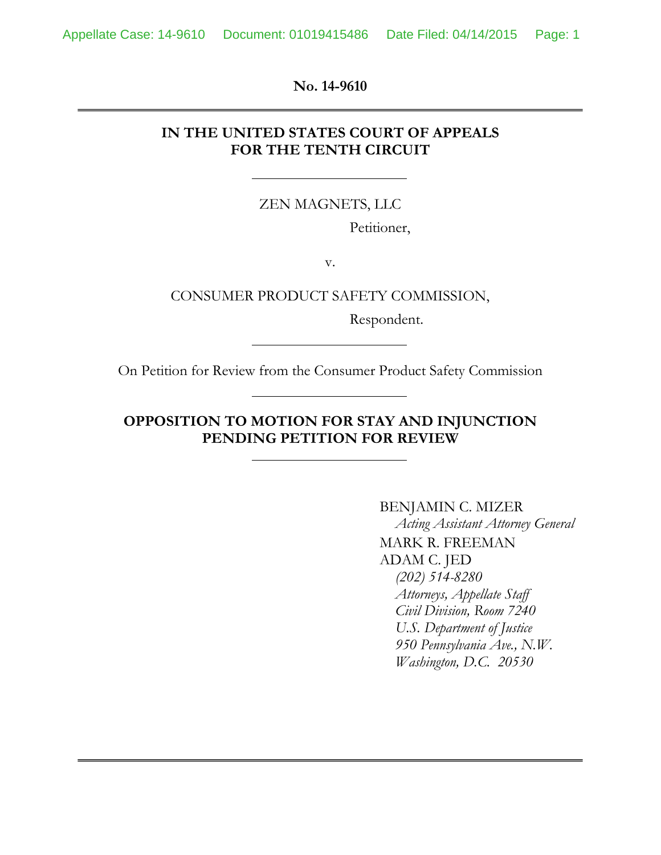**No. 14-9610**

# **IN THE UNITED STATES COURT OF APPEALS FOR THE TENTH CIRCUIT**

# ZEN MAGNETS, LLC

Petitioner,

v.

CONSUMER PRODUCT SAFETY COMMISSION,

Respondent.

On Petition for Review from the Consumer Product Safety Commission

# **OPPOSITION TO MOTION FOR STAY AND INJUNCTION PENDING PETITION FOR REVIEW**

BENJAMIN C. MIZER *Acting Assistant Attorney General* MARK R. FREEMAN ADAM C. JED *(202) 514-8280 Attorneys, Appellate Staff Civil Division, Room 7240 U.S. Department of Justice 950 Pennsylvania Ave., N.W. Washington, D.C. 20530*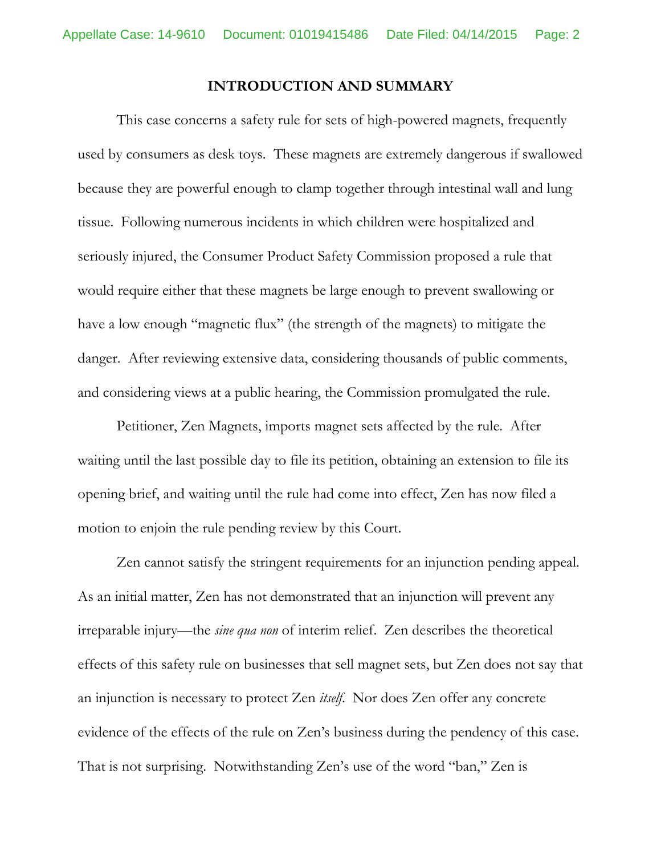## **INTRODUCTION AND SUMMARY**

This case concerns a safety rule for sets of high-powered magnets, frequently used by consumers as desk toys. These magnets are extremely dangerous if swallowed because they are powerful enough to clamp together through intestinal wall and lung tissue. Following numerous incidents in which children were hospitalized and seriously injured, the Consumer Product Safety Commission proposed a rule that would require either that these magnets be large enough to prevent swallowing or have a low enough "magnetic flux" (the strength of the magnets) to mitigate the danger. After reviewing extensive data, considering thousands of public comments, and considering views at a public hearing, the Commission promulgated the rule.

Petitioner, Zen Magnets, imports magnet sets affected by the rule. After waiting until the last possible day to file its petition, obtaining an extension to file its opening brief, and waiting until the rule had come into effect, Zen has now filed a motion to enjoin the rule pending review by this Court.

Zen cannot satisfy the stringent requirements for an injunction pending appeal. As an initial matter, Zen has not demonstrated that an injunction will prevent any irreparable injury—the *sine qua non* of interim relief. Zen describes the theoretical effects of this safety rule on businesses that sell magnet sets, but Zen does not say that an injunction is necessary to protect Zen *itself*. Nor does Zen offer any concrete evidence of the effects of the rule on Zen's business during the pendency of this case. That is not surprising. Notwithstanding Zen's use of the word "ban," Zen is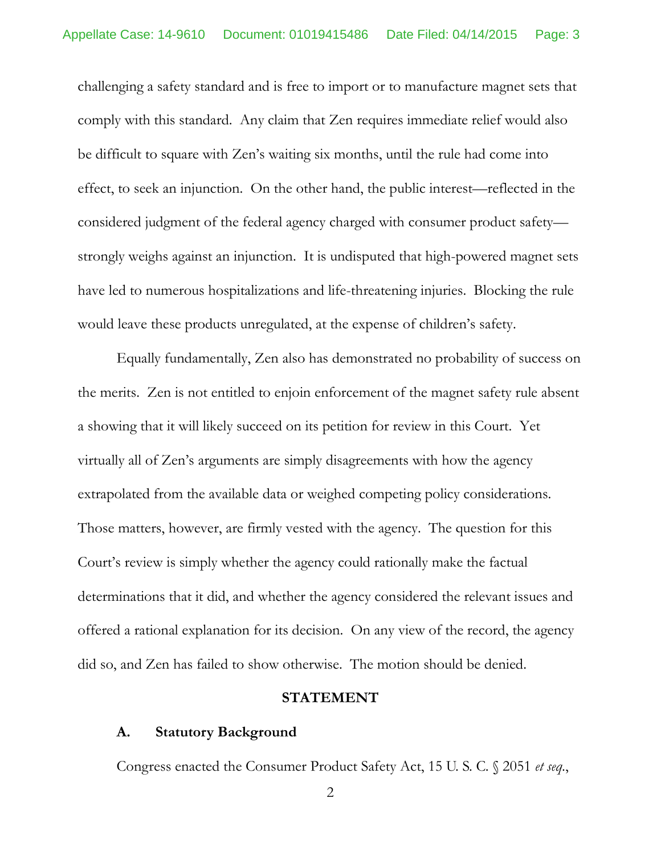challenging a safety standard and is free to import or to manufacture magnet sets that comply with this standard. Any claim that Zen requires immediate relief would also be difficult to square with Zen's waiting six months, until the rule had come into effect, to seek an injunction. On the other hand, the public interest—reflected in the considered judgment of the federal agency charged with consumer product safety strongly weighs against an injunction. It is undisputed that high-powered magnet sets have led to numerous hospitalizations and life-threatening injuries. Blocking the rule would leave these products unregulated, at the expense of children's safety.

Equally fundamentally, Zen also has demonstrated no probability of success on the merits. Zen is not entitled to enjoin enforcement of the magnet safety rule absent a showing that it will likely succeed on its petition for review in this Court. Yet virtually all of Zen's arguments are simply disagreements with how the agency extrapolated from the available data or weighed competing policy considerations. Those matters, however, are firmly vested with the agency. The question for this Court's review is simply whether the agency could rationally make the factual determinations that it did, and whether the agency considered the relevant issues and offered a rational explanation for its decision. On any view of the record, the agency did so, and Zen has failed to show otherwise. The motion should be denied.

#### **STATEMENT**

#### **A. Statutory Background**

Congress enacted the Consumer Product Safety Act, 15 U. S. C. § 2051 *et seq.*,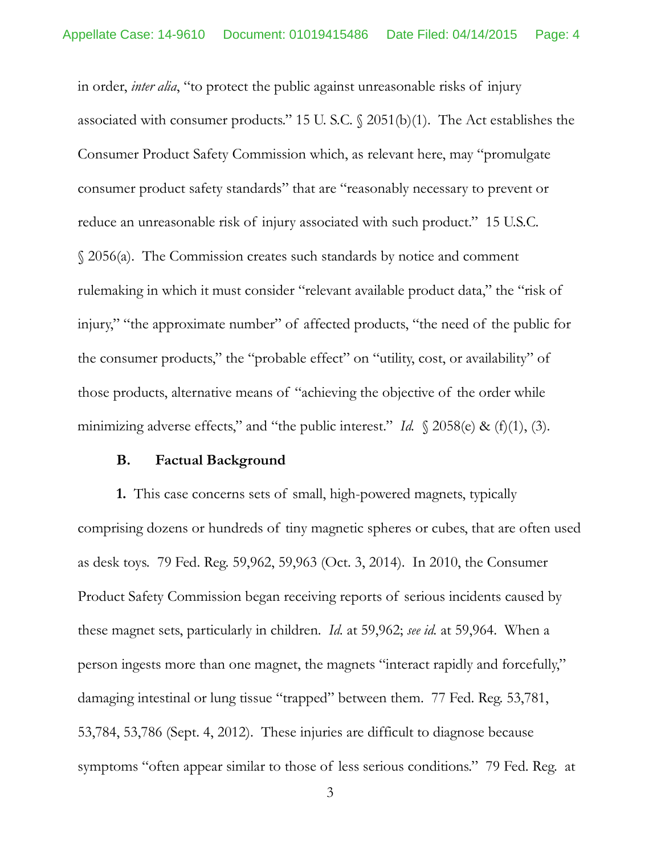in order, *inter alia*, "to protect the public against unreasonable risks of injury associated with consumer products." 15 U. S.C. § 2051(b)(1). The Act establishes the Consumer Product Safety Commission which, as relevant here, may "promulgate consumer product safety standards" that are "reasonably necessary to prevent or reduce an unreasonable risk of injury associated with such product." 15 U.S.C. § 2056(a). The Commission creates such standards by notice and comment rulemaking in which it must consider "relevant available product data," the "risk of injury," "the approximate number" of affected products, "the need of the public for the consumer products," the "probable effect" on "utility, cost, or availability" of those products, alternative means of "achieving the objective of the order while minimizing adverse effects," and "the public interest." *Id.* § 2058(e) & (f)(1), (3).

## **B. Factual Background**

**1.** This case concerns sets of small, high-powered magnets, typically comprising dozens or hundreds of tiny magnetic spheres or cubes, that are often used as desk toys. 79 Fed. Reg. 59,962, 59,963 (Oct. 3, 2014). In 2010, the Consumer Product Safety Commission began receiving reports of serious incidents caused by these magnet sets, particularly in children. *Id.* at 59,962; *see id.* at 59,964. When a person ingests more than one magnet, the magnets "interact rapidly and forcefully," damaging intestinal or lung tissue "trapped" between them. 77 Fed. Reg. 53,781, 53,784, 53,786 (Sept. 4, 2012). These injuries are difficult to diagnose because symptoms "often appear similar to those of less serious conditions." 79 Fed. Reg. at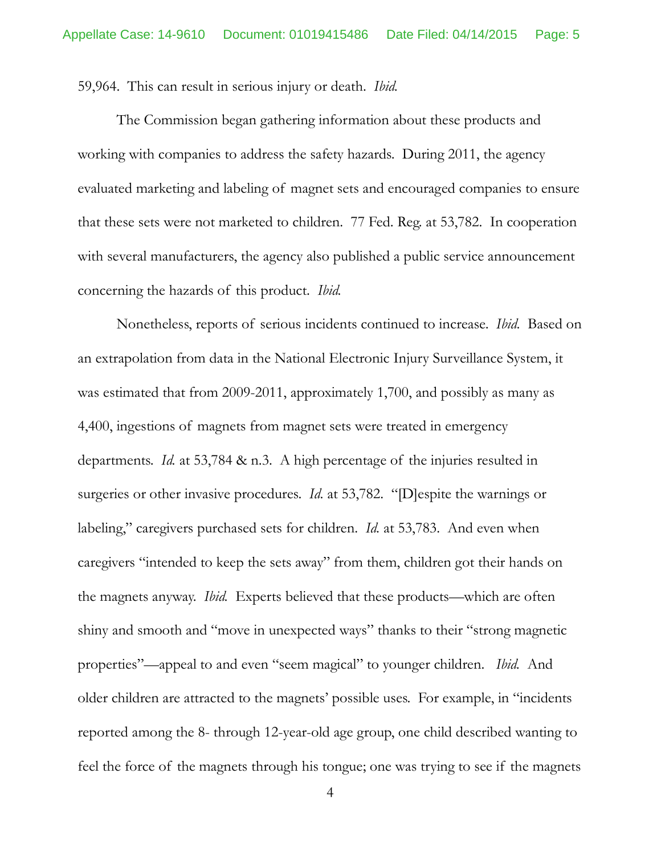59,964. This can result in serious injury or death. *Ibid.*

The Commission began gathering information about these products and working with companies to address the safety hazards. During 2011, the agency evaluated marketing and labeling of magnet sets and encouraged companies to ensure that these sets were not marketed to children. 77 Fed. Reg. at 53,782. In cooperation with several manufacturers, the agency also published a public service announcement concerning the hazards of this product. *Ibid.*

Nonetheless, reports of serious incidents continued to increase. *Ibid.* Based on an extrapolation from data in the National Electronic Injury Surveillance System, it was estimated that from 2009-2011, approximately 1,700, and possibly as many as 4,400, ingestions of magnets from magnet sets were treated in emergency departments. *Id.* at 53,784 & n.3. A high percentage of the injuries resulted in surgeries or other invasive procedures. *Id.* at 53,782."[D]espite the warnings or labeling," caregivers purchased sets for children. *Id.* at 53,783. And even when caregivers "intended to keep the sets away" from them, children got their hands on the magnets anyway. *Ibid.* Experts believed that these products—which are often shiny and smooth and "move in unexpected ways" thanks to their "strong magnetic properties"—appeal to and even "seem magical" to younger children. *Ibid.* And older children are attracted to the magnets' possible uses. For example, in "incidents reported among the 8- through 12-year-old age group, one child described wanting to feel the force of the magnets through his tongue; one was trying to see if the magnets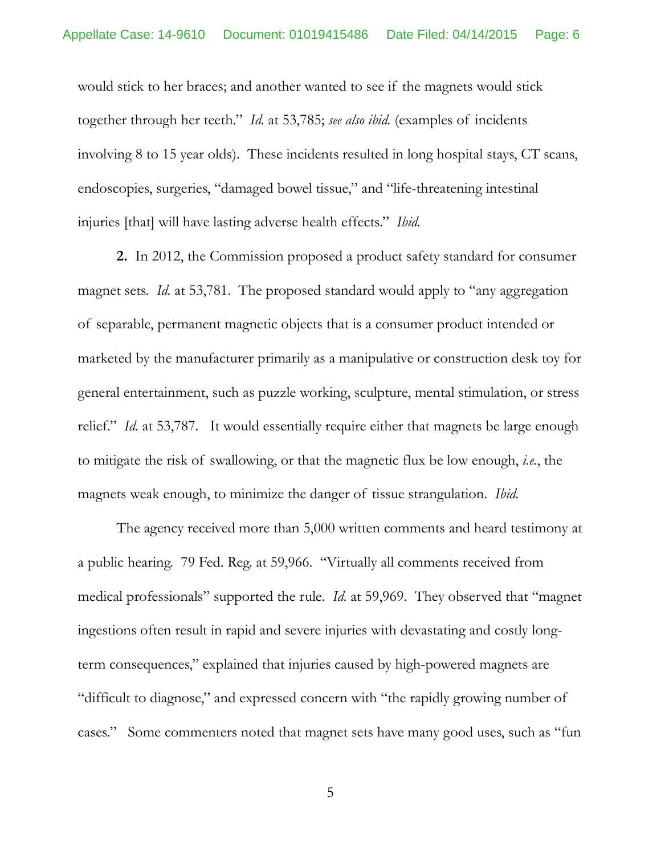would stick to her braces; and another wanted to see if the magnets would stick together through her teeth." *Id.* at 53,785; *see also ibid.* (examples of incidents involving 8 to 15 year olds). These incidents resulted in long hospital stays, CT scans, endoscopies, surgeries, "damaged bowel tissue," and "life-threatening intestinal injuries [that] will have lasting adverse health effects." *Ibid.*

**2.** In 2012, the Commission proposed a product safety standard for consumer magnet sets. *Id.* at 53,781. The proposed standard would apply to "any aggregation of separable, permanent magnetic objects that is a consumer product intended or marketed by the manufacturer primarily as a manipulative or construction desk toy for general entertainment, such as puzzle working, sculpture, mental stimulation, or stress relief." *Id.* at 53,787. It would essentially require either that magnets be large enough to mitigate the risk of swallowing, or that the magnetic flux be low enough, *i.e.*, the magnets weak enough, to minimize the danger of tissue strangulation. *Ibid.*

The agency received more than 5,000 written comments and heard testimony at a public hearing. 79 Fed. Reg. at 59,966. "Virtually all comments received from medical professionals" supported the rule. *Id.* at 59,969. They observed that "magnet ingestions often result in rapid and severe injuries with devastating and costly longterm consequences," explained that injuries caused by high-powered magnets are "difficult to diagnose," and expressed concern with "the rapidly growing number of cases." Some commenters noted that magnet sets have many good uses, such as "fun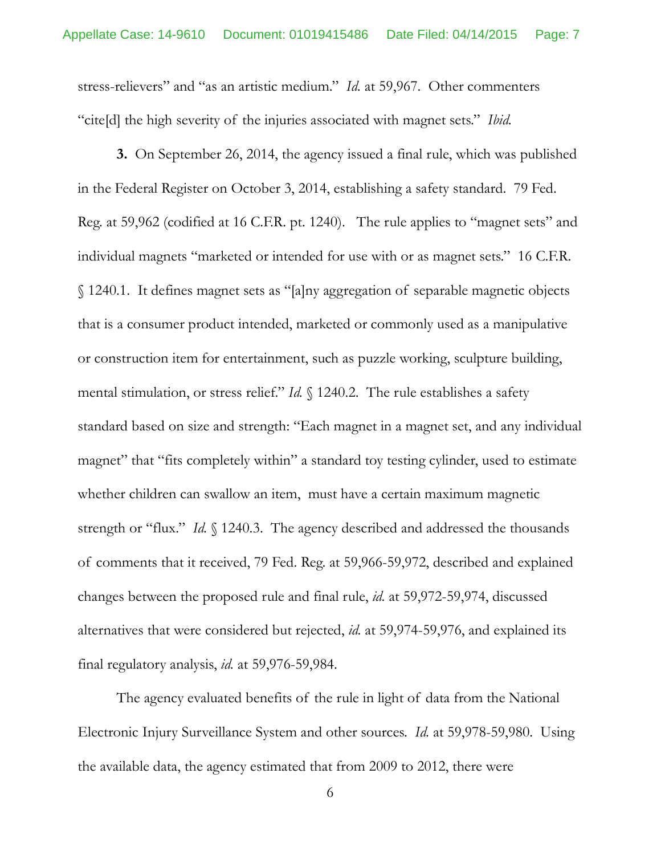stress-relievers" and "as an artistic medium." *Id.* at 59,967. Other commenters "cite[d] the high severity of the injuries associated with magnet sets." *Ibid.*

**3.** On September 26, 2014, the agency issued a final rule, which was published in the Federal Register on October 3, 2014, establishing a safety standard. 79 Fed. Reg. at 59,962 (codified at 16 C.F.R. pt. 1240). The rule applies to "magnet sets" and individual magnets "marketed or intended for use with or as magnet sets." 16 C.F.R. § 1240.1. It defines magnet sets as "[a]ny aggregation of separable magnetic objects that is a consumer product intended, marketed or commonly used as a manipulative or construction item for entertainment, such as puzzle working, sculpture building, mental stimulation, or stress relief." *Id.* § 1240.2. The rule establishes a safety standard based on size and strength: "Each magnet in a magnet set, and any individual magnet" that "fits completely within" a standard toy testing cylinder, used to estimate whether children can swallow an item, must have a certain maximum magnetic strength or "flux." *Id.* § 1240.3. The agency described and addressed the thousands of comments that it received, 79 Fed. Reg. at 59,966-59,972, described and explained changes between the proposed rule and final rule, *id.* at 59,972-59,974, discussed alternatives that were considered but rejected, *id.* at 59,974-59,976, and explained its final regulatory analysis, *id.* at 59,976-59,984.

The agency evaluated benefits of the rule in light of data from the National Electronic Injury Surveillance System and other sources. *Id.* at 59,978-59,980. Using the available data, the agency estimated that from 2009 to 2012, there were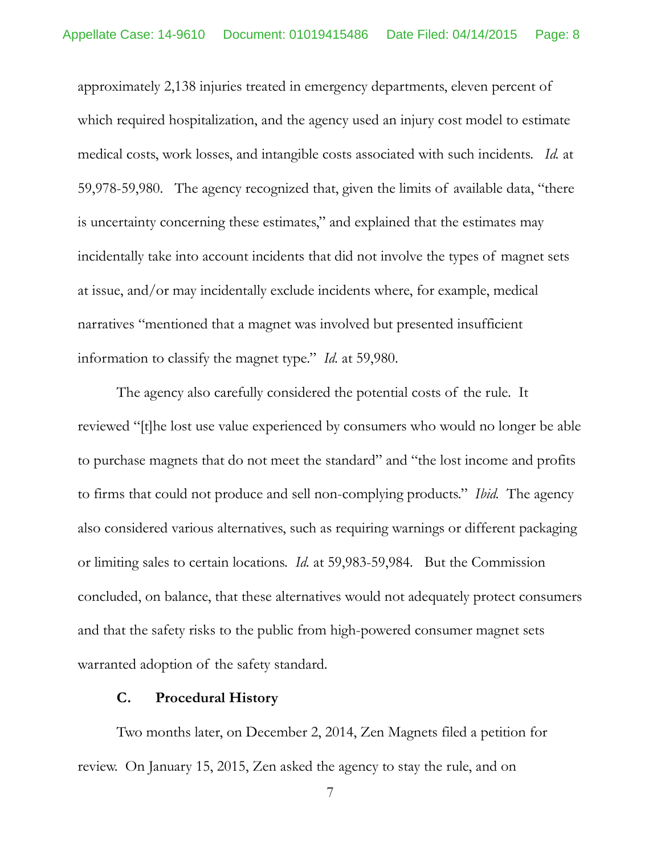approximately 2,138 injuries treated in emergency departments, eleven percent of which required hospitalization, and the agency used an injury cost model to estimate medical costs, work losses, and intangible costs associated with such incidents. *Id.* at 59,978-59,980. The agency recognized that, given the limits of available data, "there is uncertainty concerning these estimates," and explained that the estimates may incidentally take into account incidents that did not involve the types of magnet sets at issue, and/or may incidentally exclude incidents where, for example, medical narratives "mentioned that a magnet was involved but presented insufficient information to classify the magnet type." *Id.* at 59,980.

The agency also carefully considered the potential costs of the rule. It reviewed "[t]he lost use value experienced by consumers who would no longer be able to purchase magnets that do not meet the standard" and "the lost income and profits to firms that could not produce and sell non-complying products." *Ibid.* The agency also considered various alternatives, such as requiring warnings or different packaging or limiting sales to certain locations. *Id.* at 59,983-59,984. But the Commission concluded, on balance, that these alternatives would not adequately protect consumers and that the safety risks to the public from high-powered consumer magnet sets warranted adoption of the safety standard.

#### **C. Procedural History**

Two months later, on December 2, 2014, Zen Magnets filed a petition for review. On January 15, 2015, Zen asked the agency to stay the rule, and on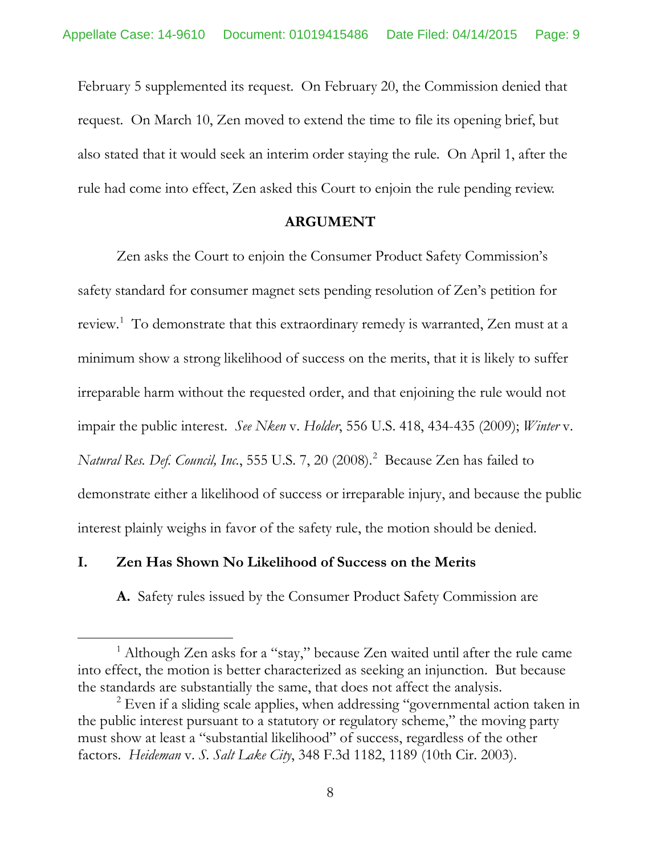February 5 supplemented its request. On February 20, the Commission denied that request. On March 10, Zen moved to extend the time to file its opening brief, but also stated that it would seek an interim order staying the rule. On April 1, after the rule had come into effect, Zen asked this Court to enjoin the rule pending review.

## **ARGUMENT**

Zen asks the Court to enjoin the Consumer Product Safety Commission's safety standard for consumer magnet sets pending resolution of Zen's petition for review.<sup>[1](#page-8-0)</sup> To demonstrate that this extraordinary remedy is warranted, Zen must at a minimum show a strong likelihood of success on the merits, that it is likely to suffer irreparable harm without the requested order, and that enjoining the rule would not impair the public interest. *See Nken* v. *Holder*, 556 U.S. 418, 434-435 (2009); *Winter* v. *Natural Res. Def. Council, Inc.*, 555 U.S. 7, 20 (2008). [2](#page-8-1) Because Zen has failed to demonstrate either a likelihood of success or irreparable injury, and because the public interest plainly weighs in favor of the safety rule, the motion should be denied.

## **I. Zen Has Shown No Likelihood of Success on the Merits**

 $\overline{a}$ 

**A.** Safety rules issued by the Consumer Product Safety Commission are

<span id="page-8-0"></span><sup>&</sup>lt;sup>1</sup> Although Zen asks for a "stay," because Zen waited until after the rule came into effect, the motion is better characterized as seeking an injunction. But because the standards are substantially the same, that does not affect the analysis.

<span id="page-8-1"></span><sup>&</sup>lt;sup>2</sup> Even if a sliding scale applies, when addressing "governmental action taken in the public interest pursuant to a statutory or regulatory scheme," the moving party must show at least a "substantial likelihood" of success, regardless of the other factors. *Heideman* v. *S. Salt Lake City*, 348 F.3d 1182, 1189 (10th Cir. 2003).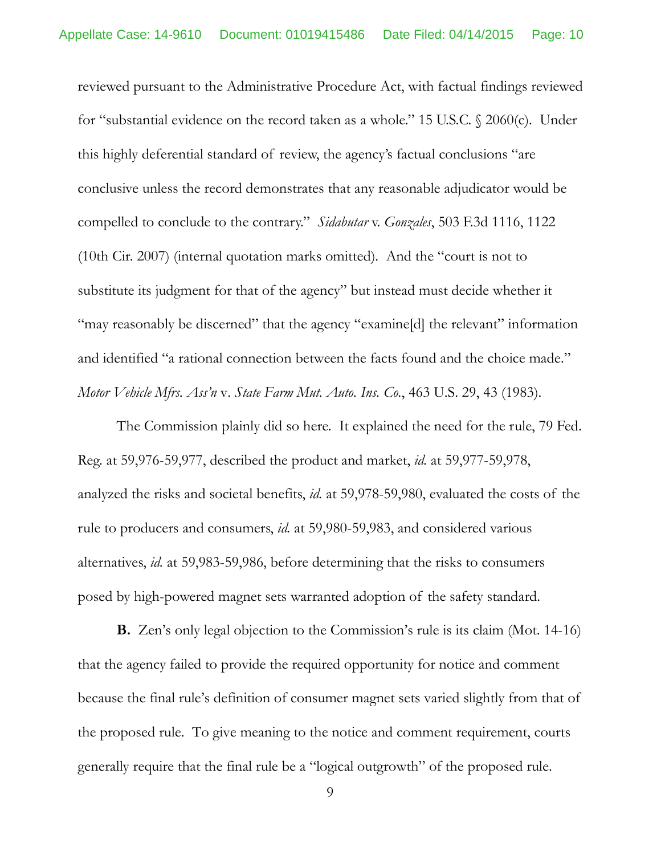reviewed pursuant to the Administrative Procedure Act, with factual findings reviewed for "substantial evidence on the record taken as a whole." 15 U.S.C. § 2060(c). Under this highly deferential standard of review, the agency's factual conclusions "are conclusive unless the record demonstrates that any reasonable adjudicator would be compelled to conclude to the contrary." *Sidabutar* v. *Gonzales*, 503 F.3d 1116, 1122 (10th Cir. 2007) (internal quotation marks omitted). And the "court is not to substitute its judgment for that of the agency" but instead must decide whether it "may reasonably be discerned" that the agency "examine[d] the relevant" information and identified "a rational connection between the facts found and the choice made." *Motor Vehicle Mfrs. Ass'n* v. *State Farm Mut. Auto. Ins. Co.*, 463 U.S. 29, 43 (1983).

The Commission plainly did so here. It explained the need for the rule, 79 Fed. Reg. at 59,976-59,977, described the product and market, *id.* at 59,977-59,978, analyzed the risks and societal benefits, *id.* at 59,978-59,980, evaluated the costs of the rule to producers and consumers, *id.* at 59,980-59,983, and considered various alternatives, *id.* at 59,983-59,986, before determining that the risks to consumers posed by high-powered magnet sets warranted adoption of the safety standard.

**B.** Zen's only legal objection to the Commission's rule is its claim (Mot. 14-16) that the agency failed to provide the required opportunity for notice and comment because the final rule's definition of consumer magnet sets varied slightly from that of the proposed rule. To give meaning to the notice and comment requirement, courts generally require that the final rule be a "logical outgrowth" of the proposed rule.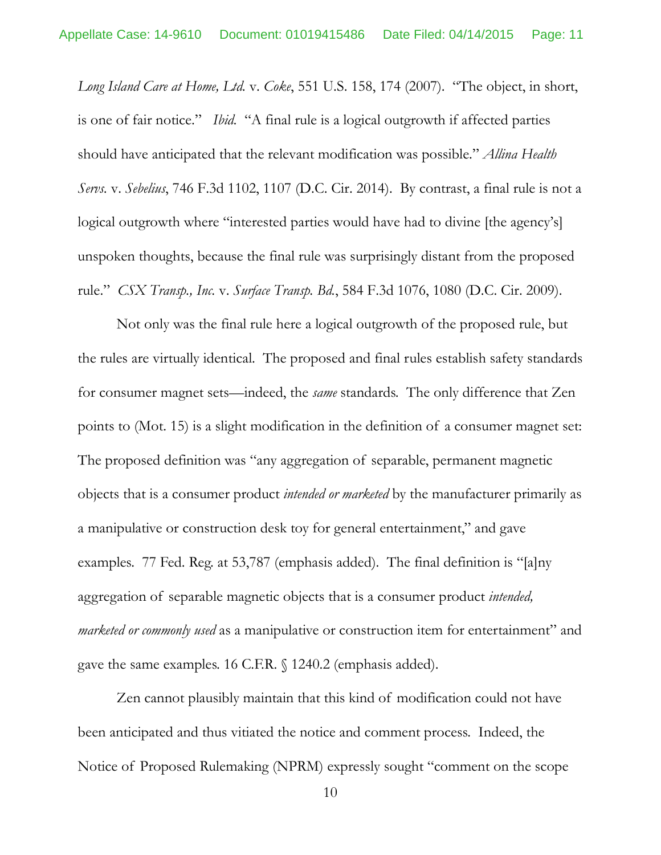*Long Island Care at Home, Ltd.* v. *Coke*, 551 U.S. 158, 174 (2007). "The object, in short, is one of fair notice." *Ibid.* "A final rule is a logical outgrowth if affected parties should have anticipated that the relevant modification was possible." *Allina Health Servs.* v. *Sebelius*, 746 F.3d 1102, 1107 (D.C. Cir. 2014). By contrast, a final rule is not a logical outgrowth where "interested parties would have had to divine [the agency's] unspoken thoughts, because the final rule was surprisingly distant from the proposed rule." *CSX Transp., Inc.* v. *Surface Transp. Bd.*, 584 F.3d 1076, 1080 (D.C. Cir. 2009).

Not only was the final rule here a logical outgrowth of the proposed rule, but the rules are virtually identical. The proposed and final rules establish safety standards for consumer magnet sets—indeed, the *same* standards. The only difference that Zen points to (Mot. 15) is a slight modification in the definition of a consumer magnet set: The proposed definition was "any aggregation of separable, permanent magnetic objects that is a consumer product *intended or marketed* by the manufacturer primarily as a manipulative or construction desk toy for general entertainment," and gave examples. 77 Fed. Reg. at 53,787 (emphasis added). The final definition is "[a]ny aggregation of separable magnetic objects that is a consumer product *intended, marketed or commonly used* as a manipulative or construction item for entertainment" and gave the same examples. 16 C.F.R. § 1240.2 (emphasis added).

Zen cannot plausibly maintain that this kind of modification could not have been anticipated and thus vitiated the notice and comment process. Indeed, the Notice of Proposed Rulemaking (NPRM) expressly sought "comment on the scope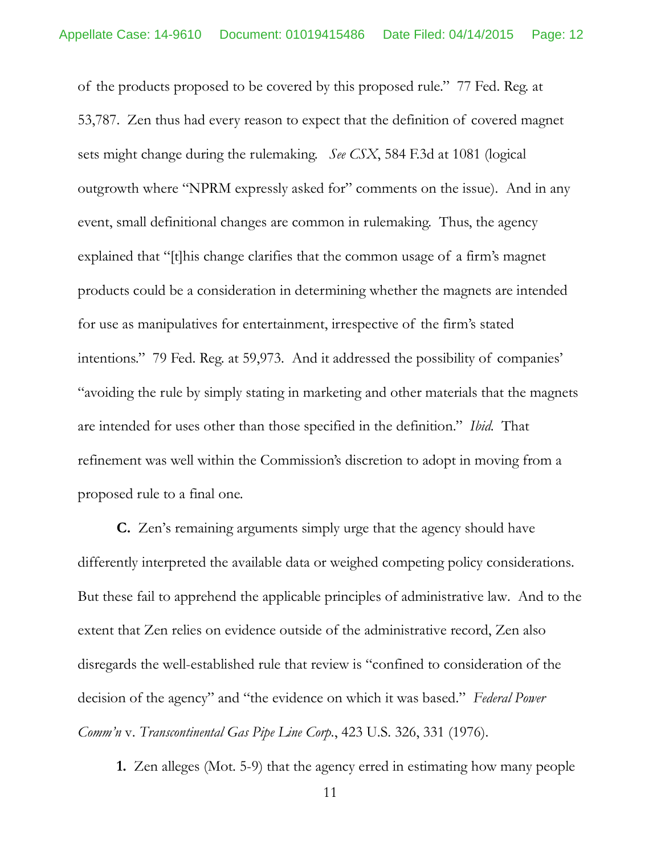of the products proposed to be covered by this proposed rule." 77 Fed. Reg. at 53,787. Zen thus had every reason to expect that the definition of covered magnet sets might change during the rulemaking. *See CSX*, 584 F.3d at 1081 (logical outgrowth where "NPRM expressly asked for" comments on the issue). And in any event, small definitional changes are common in rulemaking. Thus, the agency explained that "[t]his change clarifies that the common usage of a firm's magnet products could be a consideration in determining whether the magnets are intended for use as manipulatives for entertainment, irrespective of the firm's stated intentions." 79 Fed. Reg. at 59,973. And it addressed the possibility of companies' "avoiding the rule by simply stating in marketing and other materials that the magnets are intended for uses other than those specified in the definition." *Ibid*. That refinement was well within the Commission's discretion to adopt in moving from a proposed rule to a final one.

**C.** Zen's remaining arguments simply urge that the agency should have differently interpreted the available data or weighed competing policy considerations. But these fail to apprehend the applicable principles of administrative law. And to the extent that Zen relies on evidence outside of the administrative record, Zen also disregards the well-established rule that review is "confined to consideration of the decision of the agency" and "the evidence on which it was based." *Federal Power Comm'n* v. *Transcontinental Gas Pipe Line Corp.*, 423 U.S. 326, 331 (1976).

**1.** Zen alleges (Mot. 5-9) that the agency erred in estimating how many people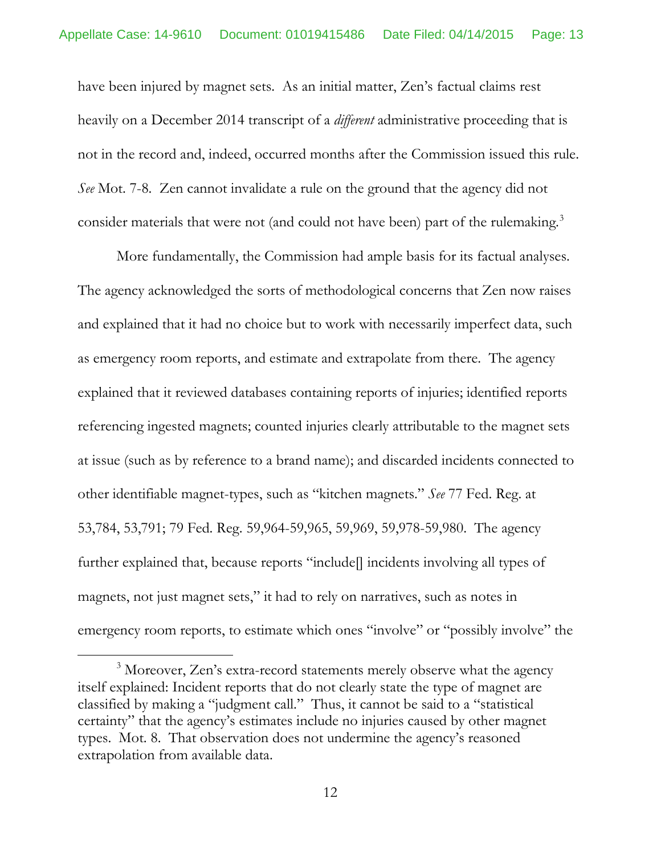have been injured by magnet sets. As an initial matter, Zen's factual claims rest heavily on a December 2014 transcript of a *different* administrative proceeding that is not in the record and, indeed, occurred months after the Commission issued this rule. *See* Mot. 7-8. Zen cannot invalidate a rule on the ground that the agency did not consider materials that were not (and could not have been) part of the rulemaking.<sup>[3](#page-12-0)</sup>

More fundamentally, the Commission had ample basis for its factual analyses. The agency acknowledged the sorts of methodological concerns that Zen now raises and explained that it had no choice but to work with necessarily imperfect data, such as emergency room reports, and estimate and extrapolate from there. The agency explained that it reviewed databases containing reports of injuries; identified reports referencing ingested magnets; counted injuries clearly attributable to the magnet sets at issue (such as by reference to a brand name); and discarded incidents connected to other identifiable magnet-types, such as "kitchen magnets." *See* 77 Fed. Reg. at 53,784, 53,791; 79 Fed. Reg. 59,964-59,965, 59,969, 59,978-59,980. The agency further explained that, because reports "include<sup>[]</sup> incidents involving all types of magnets, not just magnet sets," it had to rely on narratives, such as notes in emergency room reports, to estimate which ones "involve" or "possibly involve" the

<span id="page-12-0"></span><sup>&</sup>lt;sup>3</sup> Moreover, Zen's extra-record statements merely observe what the agency itself explained: Incident reports that do not clearly state the type of magnet are classified by making a "judgment call." Thus, it cannot be said to a "statistical certainty" that the agency's estimates include no injuries caused by other magnet types. Mot. 8. That observation does not undermine the agency's reasoned extrapolation from available data.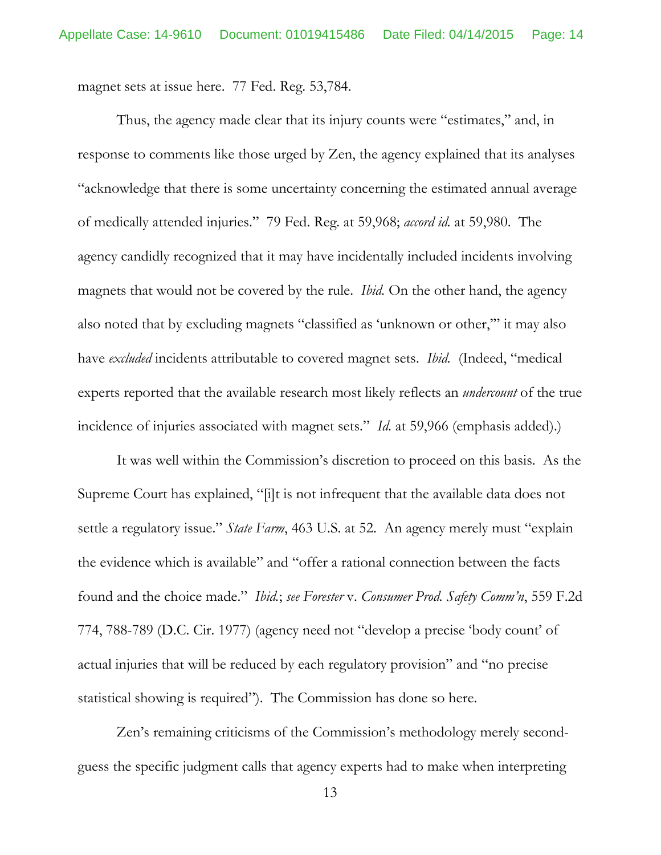magnet sets at issue here. 77 Fed. Reg. 53,784.

Thus, the agency made clear that its injury counts were "estimates," and, in response to comments like those urged by Zen, the agency explained that its analyses "acknowledge that there is some uncertainty concerning the estimated annual average of medically attended injuries." 79 Fed. Reg. at 59,968; *accord id.* at 59,980. The agency candidly recognized that it may have incidentally included incidents involving magnets that would not be covered by the rule. *Ibid.* On the other hand, the agency also noted that by excluding magnets "classified as 'unknown or other,'" it may also have *excluded* incidents attributable to covered magnet sets. *Ibid.* (Indeed, "medical experts reported that the available research most likely reflects an *undercount* of the true incidence of injuries associated with magnet sets." *Id.* at 59,966 (emphasis added).)

It was well within the Commission's discretion to proceed on this basis. As the Supreme Court has explained, "[i]t is not infrequent that the available data does not settle a regulatory issue." *State Farm*, 463 U.S. at 52. An agency merely must "explain the evidence which is available" and "offer a rational connection between the facts found and the choice made." *Ibid.*; *see Forester* v. *Consumer Prod. Safety Comm'n*, 559 F.2d 774, 788-789 (D.C. Cir. 1977) (agency need not "develop a precise 'body count' of actual injuries that will be reduced by each regulatory provision" and "no precise statistical showing is required"). The Commission has done so here.

Zen's remaining criticisms of the Commission's methodology merely secondguess the specific judgment calls that agency experts had to make when interpreting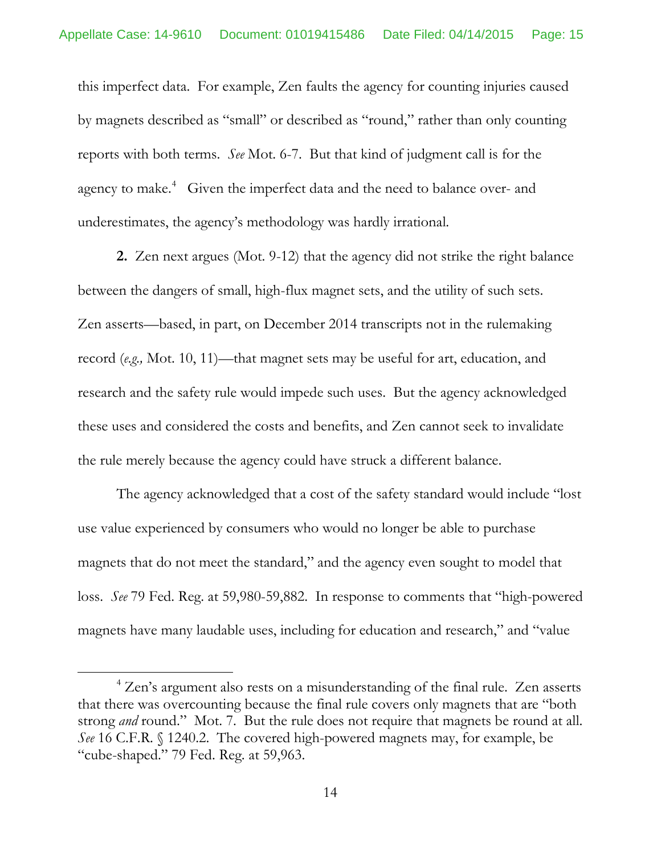this imperfect data. For example, Zen faults the agency for counting injuries caused by magnets described as "small" or described as "round," rather than only counting reports with both terms. *See* Mot. 6-7. But that kind of judgment call is for the agency to make.<sup>[4](#page-14-0)</sup> Given the imperfect data and the need to balance over- and underestimates, the agency's methodology was hardly irrational.

**2.** Zen next argues (Mot. 9-12) that the agency did not strike the right balance between the dangers of small, high-flux magnet sets, and the utility of such sets. Zen asserts—based, in part, on December 2014 transcripts not in the rulemaking record (*e.g.,* Mot. 10, 11)—that magnet sets may be useful for art, education, and research and the safety rule would impede such uses. But the agency acknowledged these uses and considered the costs and benefits, and Zen cannot seek to invalidate the rule merely because the agency could have struck a different balance.

The agency acknowledged that a cost of the safety standard would include "lost use value experienced by consumers who would no longer be able to purchase magnets that do not meet the standard," and the agency even sought to model that loss. *See* 79 Fed. Reg. at 59,980-59,882. In response to comments that "high-powered magnets have many laudable uses, including for education and research," and "value

<span id="page-14-0"></span><sup>&</sup>lt;sup>4</sup> Zen's argument also rests on a misunderstanding of the final rule. Zen asserts that there was overcounting because the final rule covers only magnets that are "both strong *and* round." Mot. 7. But the rule does not require that magnets be round at all. *See* 16 C.F.R. § 1240.2. The covered high-powered magnets may, for example, be "cube-shaped." 79 Fed. Reg. at 59,963.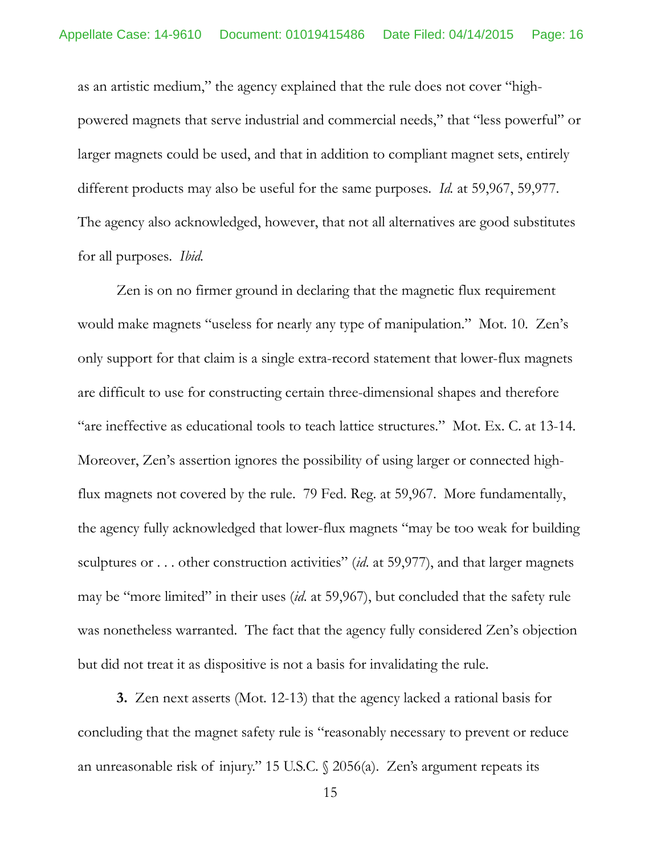as an artistic medium," the agency explained that the rule does not cover "highpowered magnets that serve industrial and commercial needs," that "less powerful" or larger magnets could be used, and that in addition to compliant magnet sets, entirely different products may also be useful for the same purposes. *Id.* at 59,967, 59,977. The agency also acknowledged, however, that not all alternatives are good substitutes for all purposes. *Ibid.*

Zen is on no firmer ground in declaring that the magnetic flux requirement would make magnets "useless for nearly any type of manipulation." Mot. 10. Zen's only support for that claim is a single extra-record statement that lower-flux magnets are difficult to use for constructing certain three-dimensional shapes and therefore "are ineffective as educational tools to teach lattice structures." Mot. Ex. C. at 13-14. Moreover, Zen's assertion ignores the possibility of using larger or connected highflux magnets not covered by the rule. 79 Fed. Reg. at 59,967. More fundamentally, the agency fully acknowledged that lower-flux magnets "may be too weak for building sculptures or . . . other construction activities" (*id*. at 59,977), and that larger magnets may be "more limited" in their uses (*id*. at 59,967), but concluded that the safety rule was nonetheless warranted. The fact that the agency fully considered Zen's objection but did not treat it as dispositive is not a basis for invalidating the rule.

**3.** Zen next asserts (Mot. 12-13) that the agency lacked a rational basis for concluding that the magnet safety rule is "reasonably necessary to prevent or reduce an unreasonable risk of injury." 15 U.S.C. § 2056(a). Zen's argument repeats its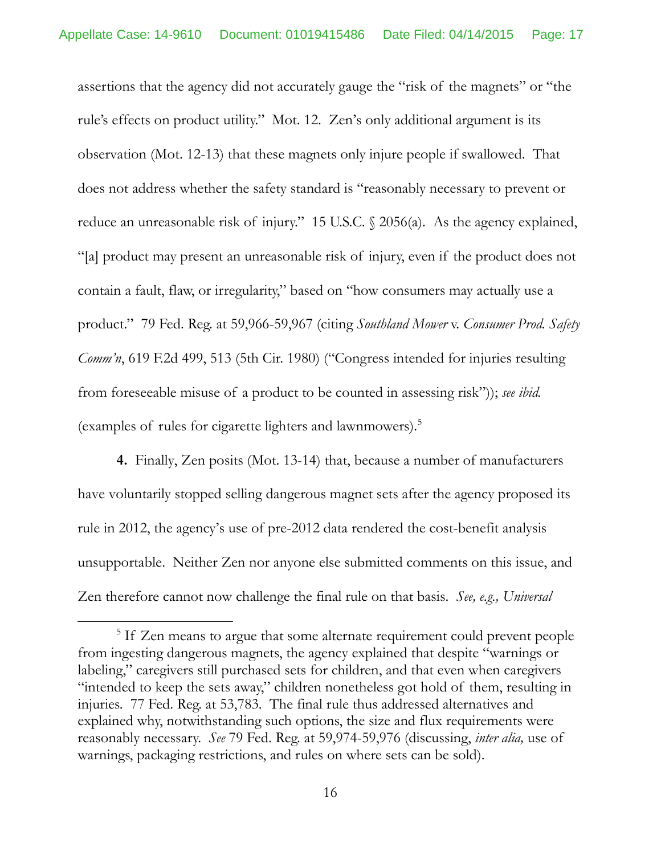assertions that the agency did not accurately gauge the "risk of the magnets" or "the rule's effects on product utility." Mot. 12. Zen's only additional argument is its observation (Mot. 12-13) that these magnets only injure people if swallowed. That does not address whether the safety standard is "reasonably necessary to prevent or reduce an unreasonable risk of injury." 15 U.S.C. § 2056(a). As the agency explained, "[a] product may present an unreasonable risk of injury, even if the product does not contain a fault, flaw, or irregularity," based on "how consumers may actually use a product." 79 Fed. Reg. at 59,966-59,967 (citing *Southland Mower* v. *Consumer Prod. Safety Comm'n*, 619 F.2d 499, 513 (5th Cir. 1980) ("Congress intended for injuries resulting from foreseeable misuse of a product to be counted in assessing risk")); *see ibid.* (examples of rules for cigarette lighters and lawnmowers).[5](#page-16-0)

**4.** Finally, Zen posits (Mot. 13-14) that, because a number of manufacturers have voluntarily stopped selling dangerous magnet sets after the agency proposed its rule in 2012, the agency's use of pre-2012 data rendered the cost-benefit analysis unsupportable. Neither Zen nor anyone else submitted comments on this issue, and Zen therefore cannot now challenge the final rule on that basis. *See, e.g., Universal* 

<span id="page-16-0"></span><sup>&</sup>lt;sup>5</sup> If Zen means to argue that some alternate requirement could prevent people from ingesting dangerous magnets, the agency explained that despite "warnings or labeling," caregivers still purchased sets for children, and that even when caregivers "intended to keep the sets away," children nonetheless got hold of them, resulting in injuries. 77 Fed. Reg. at 53,783. The final rule thus addressed alternatives and explained why, notwithstanding such options, the size and flux requirements were reasonably necessary. *See* 79 Fed. Reg. at 59,974-59,976 (discussing, *inter alia,* use of warnings, packaging restrictions, and rules on where sets can be sold).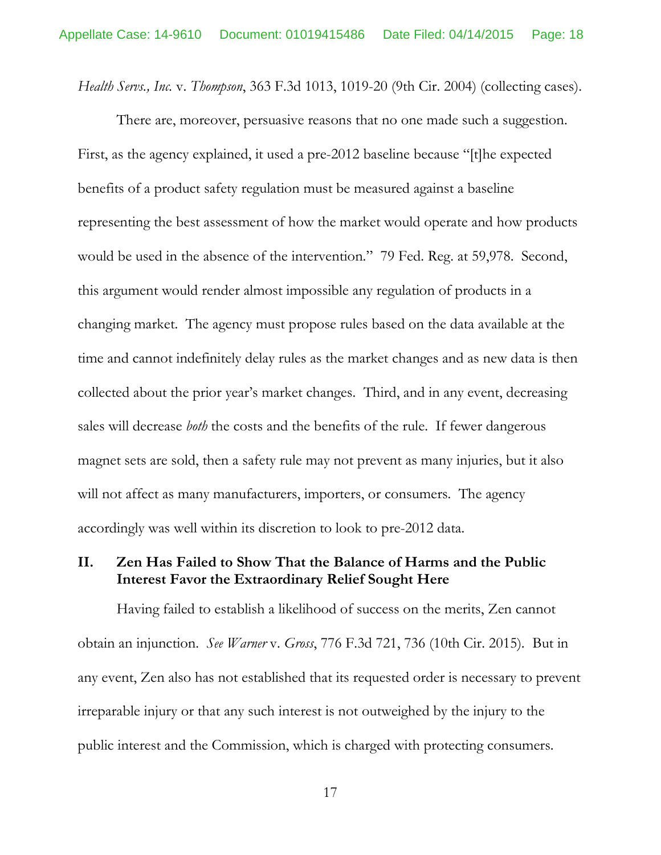*Health Servs., Inc.* v. *Thompson*, 363 F.3d 1013, 1019-20 (9th Cir. 2004) (collecting cases).

There are, moreover, persuasive reasons that no one made such a suggestion. First, as the agency explained, it used a pre-2012 baseline because "[t]he expected benefits of a product safety regulation must be measured against a baseline representing the best assessment of how the market would operate and how products would be used in the absence of the intervention." 79 Fed. Reg. at 59,978. Second, this argument would render almost impossible any regulation of products in a changing market. The agency must propose rules based on the data available at the time and cannot indefinitely delay rules as the market changes and as new data is then collected about the prior year's market changes. Third, and in any event, decreasing sales will decrease *both* the costs and the benefits of the rule. If fewer dangerous magnet sets are sold, then a safety rule may not prevent as many injuries, but it also will not affect as many manufacturers, importers, or consumers. The agency accordingly was well within its discretion to look to pre-2012 data.

## **II. Zen Has Failed to Show That the Balance of Harms and the Public Interest Favor the Extraordinary Relief Sought Here**

Having failed to establish a likelihood of success on the merits, Zen cannot obtain an injunction. *See Warner* v. *Gross*, 776 F.3d 721, 736 (10th Cir. 2015)*.* But in any event, Zen also has not established that its requested order is necessary to prevent irreparable injury or that any such interest is not outweighed by the injury to the public interest and the Commission, which is charged with protecting consumers.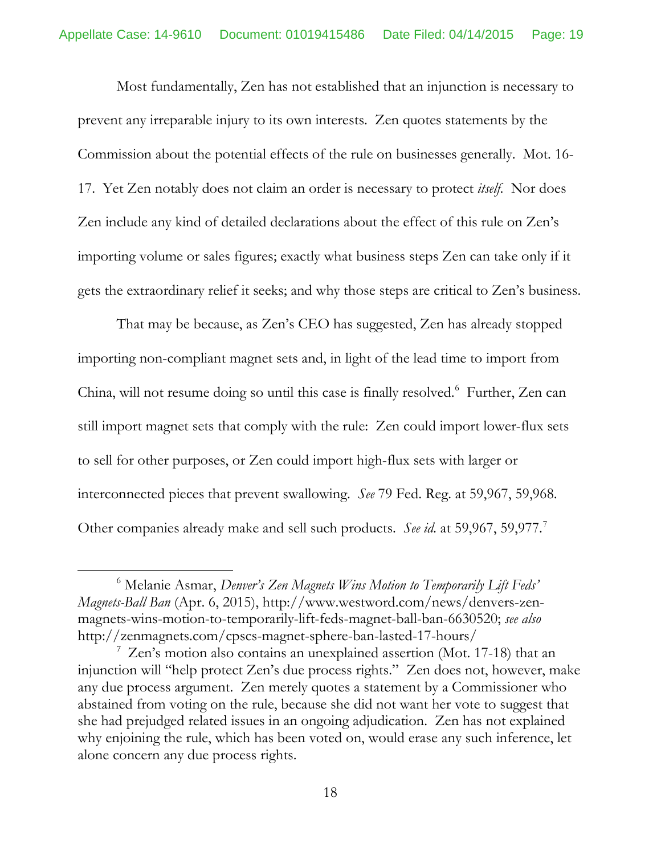Most fundamentally, Zen has not established that an injunction is necessary to prevent any irreparable injury to its own interests. Zen quotes statements by the Commission about the potential effects of the rule on businesses generally. Mot. 16- 17. Yet Zen notably does not claim an order is necessary to protect *itself*. Nor does Zen include any kind of detailed declarations about the effect of this rule on Zen's importing volume or sales figures; exactly what business steps Zen can take only if it gets the extraordinary relief it seeks; and why those steps are critical to Zen's business.

That may be because, as Zen's CEO has suggested, Zen has already stopped importing non-compliant magnet sets and, in light of the lead time to import from China, will not resume doing so until this case is finally resolved.<sup>[6](#page-18-0)</sup> Further, Zen can still import magnet sets that comply with the rule: Zen could import lower-flux sets to sell for other purposes, or Zen could import high-flux sets with larger or interconnected pieces that prevent swallowing. *See* 79 Fed. Reg. at 59,967, 59,968. Other companies already make and sell such products. *See id.* at 59,967, 59,977.[7](#page-18-1)

<span id="page-18-0"></span><sup>6</sup> Melanie Asmar, *Denver's Zen Magnets Wins Motion to Temporarily Lift Feds' Magnets-Ball Ban* (Apr. 6, 2015), http://www.westword.com/news/denvers-zenmagnets-wins-motion-to-temporarily-lift-feds-magnet-ball-ban-6630520; *see also*  http://zenmagnets.com/cpscs-magnet-sphere-ban-lasted-17-hours/

<span id="page-18-1"></span> $7$  Zen's motion also contains an unexplained assertion (Mot. 17-18) that an injunction will "help protect Zen's due process rights." Zen does not, however, make any due process argument. Zen merely quotes a statement by a Commissioner who abstained from voting on the rule, because she did not want her vote to suggest that she had prejudged related issues in an ongoing adjudication. Zen has not explained why enjoining the rule, which has been voted on, would erase any such inference, let alone concern any due process rights.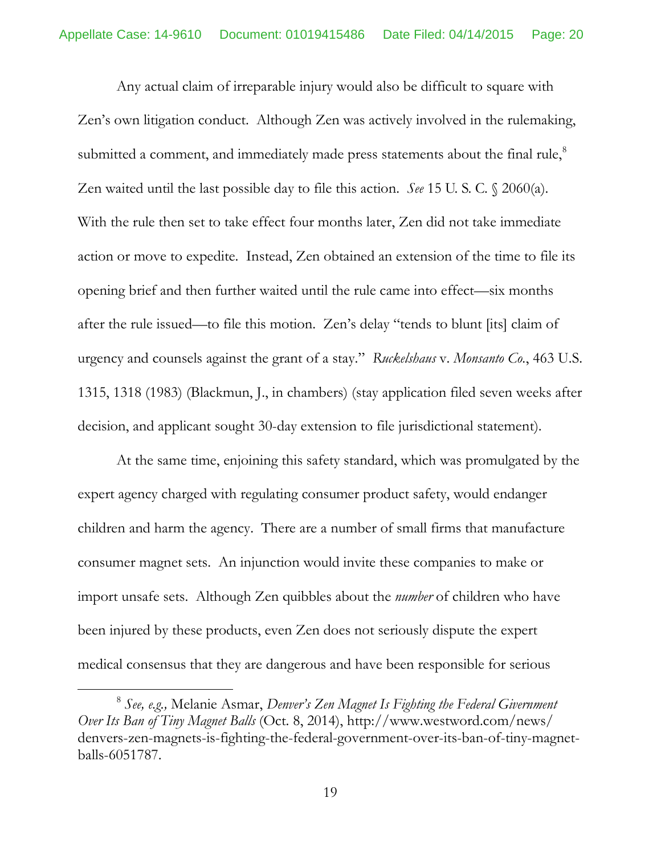Any actual claim of irreparable injury would also be difficult to square with Zen's own litigation conduct. Although Zen was actively involved in the rulemaking, submitted a comment, and immediately made press statements about the final rule,<sup>[8](#page-19-0)</sup> Zen waited until the last possible day to file this action. *See* 15 U. S. C. § 2060(a). With the rule then set to take effect four months later, Zen did not take immediate action or move to expedite. Instead, Zen obtained an extension of the time to file its opening brief and then further waited until the rule came into effect—six months after the rule issued—to file this motion. Zen's delay "tends to blunt [its] claim of urgency and counsels against the grant of a stay." *Ruckelshaus* v. *Monsanto Co.*, 463 U.S. 1315, 1318 (1983) (Blackmun, J., in chambers) (stay application filed seven weeks after decision, and applicant sought 30-day extension to file jurisdictional statement).

At the same time, enjoining this safety standard, which was promulgated by the expert agency charged with regulating consumer product safety, would endanger children and harm the agency. There are a number of small firms that manufacture consumer magnet sets. An injunction would invite these companies to make or import unsafe sets. Although Zen quibbles about the *number* of children who have been injured by these products, even Zen does not seriously dispute the expert medical consensus that they are dangerous and have been responsible for serious

<span id="page-19-0"></span><sup>8</sup> *See, e.g.,* Melanie Asmar, *Denver's Zen Magnet Is Fighting the Federal Givernment Over Its Ban of Tiny Magnet Balls* (Oct. 8, 2014), http://www.westword.com/news/ denvers-zen-magnets-is-fighting-the-federal-government-over-its-ban-of-tiny-magnetballs-6051787.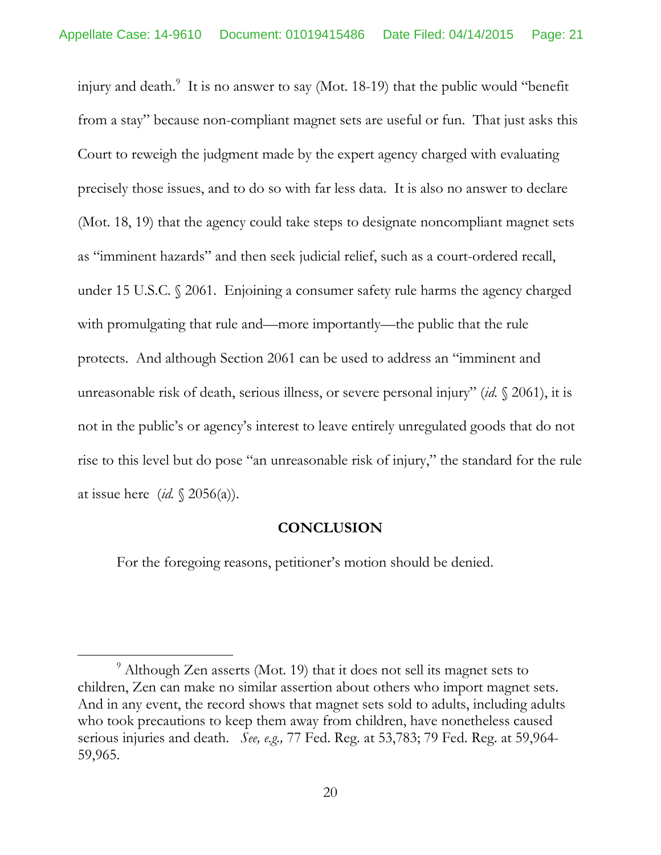injury and death. $9$  It is no answer to say (Mot. 18-19) that the public would "benefit from a stay" because non-compliant magnet sets are useful or fun. That just asks this Court to reweigh the judgment made by the expert agency charged with evaluating precisely those issues, and to do so with far less data. It is also no answer to declare (Mot. 18, 19) that the agency could take steps to designate noncompliant magnet sets as "imminent hazards" and then seek judicial relief, such as a court-ordered recall, under 15 U.S.C. § 2061. Enjoining a consumer safety rule harms the agency charged with promulgating that rule and—more importantly—the public that the rule protects. And although Section 2061 can be used to address an "imminent and unreasonable risk of death, serious illness, or severe personal injury" (*id.* § 2061), it is not in the public's or agency's interest to leave entirely unregulated goods that do not rise to this level but do pose "an unreasonable risk of injury," the standard for the rule at issue here (*id.* § 2056(a)).

## **CONCLUSION**

For the foregoing reasons, petitioner's motion should be denied.

<span id="page-20-0"></span><sup>&</sup>lt;sup>9</sup> Although Zen asserts (Mot. 19) that it does not sell its magnet sets to children, Zen can make no similar assertion about others who import magnet sets. And in any event, the record shows that magnet sets sold to adults, including adults who took precautions to keep them away from children, have nonetheless caused serious injuries and death. *See, e.g.,* 77 Fed. Reg. at 53,783; 79 Fed. Reg. at 59,964- 59,965.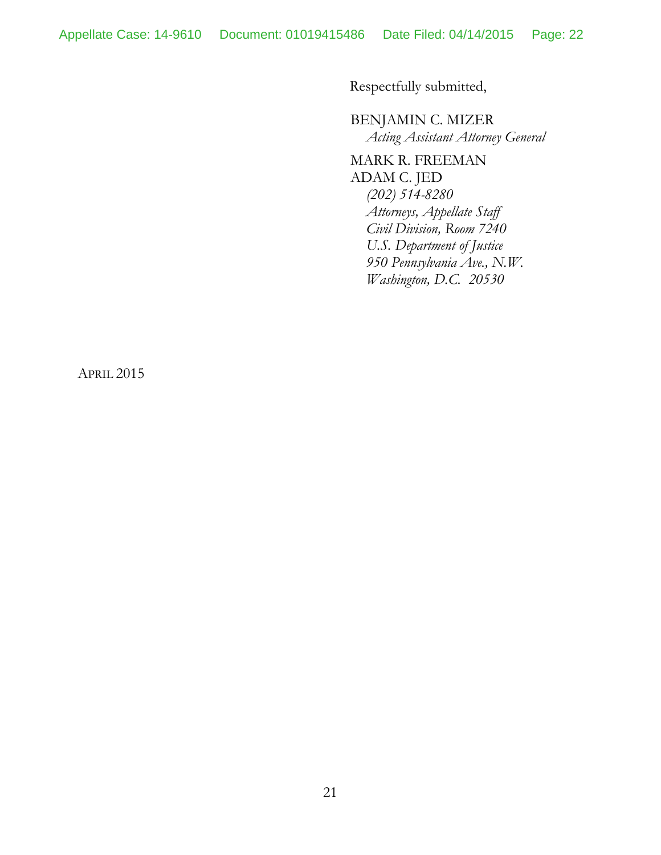Respectfully submitted,

BENJAMIN C. MIZER

*Acting Assistant Attorney General*

MARK R. FREEMAN ADAM C. JED *(202) 514-8280 Attorneys, Appellate Staff Civil Division, Room 7240 U.S. Department of Justice 950 Pennsylvania Ave., N.W. Washington, D.C. 20530*

APRIL 2015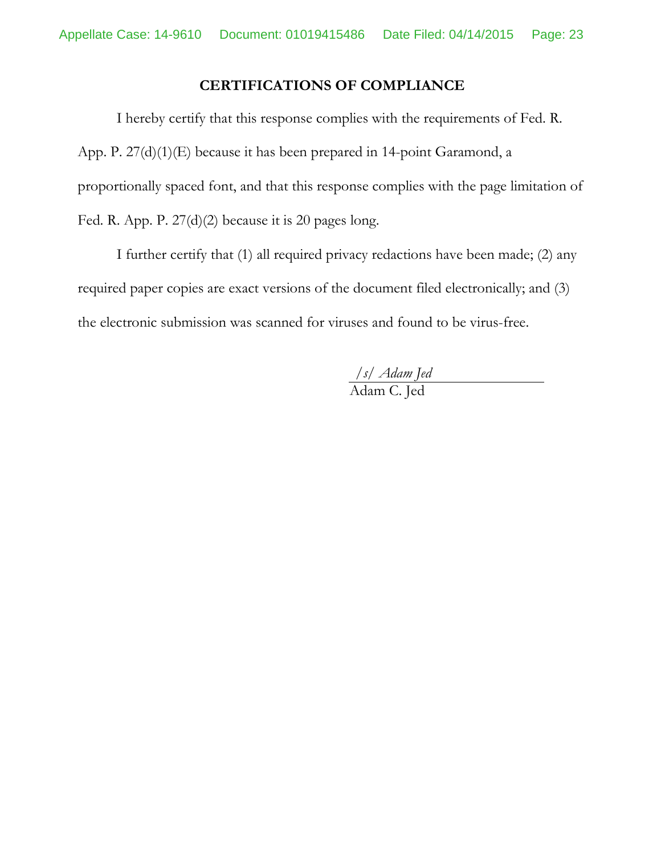# **CERTIFICATIONS OF COMPLIANCE**

I hereby certify that this response complies with the requirements of Fed. R. App. P. 27(d)(1)(E) because it has been prepared in 14-point Garamond, a proportionally spaced font, and that this response complies with the page limitation of Fed. R. App. P. 27(d)(2) because it is 20 pages long.

I further certify that (1) all required privacy redactions have been made; (2) any required paper copies are exact versions of the document filed electronically; and (3) the electronic submission was scanned for viruses and found to be virus-free.

> */s/ Adam Jed* Adam C. Jed